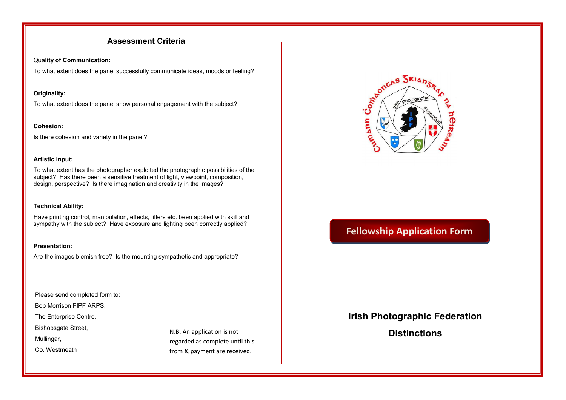## **Assessment Criteria**

### Qua**lity of Communication:**

To what extent does the panel successfully communicate ideas, moods or feeling?

### **Originality:**

To what extent does the panel show personal engagement with the subject?

### **Cohesion:**

Is there cohesion and variety in the panel?

### **Artistic Input:**

To what extent has the photographer exploited the photographic possibilities of the subject? Has there been a sensitive treatment of light, viewpoint, composition, design, perspective? Is there imagination and creativity in the images?

### **Technical Ability:**

Have printing control, manipulation, effects, filters etc. been applied with skill and sympathy with the subject? Have exposure and lighting been correctly applied?

### **Presentation:**

Are the images blemish free? Is the mounting sympathetic and appropriate?

Please send completed form to:

Bob Morrison FIPF ARPS,

The Enterprise Centre,

Bishopsgate Street,

Mullingar,

Co. Westmeath

N.B: An application is not regarded as complete until this from & payment are received.



# **Fellowship Application Form**

## **Irish Photographic Federation**

**Distinctions**